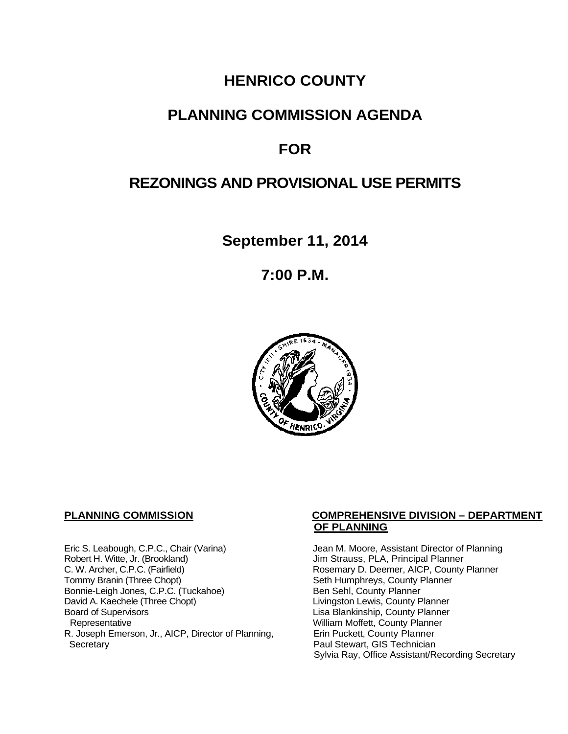## **HENRICO COUNTY**

## **PLANNING COMMISSION AGENDA**

## **FOR**

## **REZONINGS AND PROVISIONAL USE PERMITS**

**September 11, 2014**

**7:00 P.M.**



Eric S. Leabough, C.P.C., Chair (Varina) Jean M. Moore, Assistant Director of Planning<br>Robert H. Witte, Jr. (Brookland) Jim Strauss, PLA, Principal Planner Robert H. Witte, Jr. (Brookland)<br>C. W. Archer, C.P.C. (Fairfield) G. W. Archer, C.P.C. (Fairfield) C. W. Archer, C.P.C. (Fairfield) C. W. Archer, C.P.C. (Fairfield) Rosemary D. Deemer, AICP, County Planner<br>Tommy Branin (Three Chopt) Seth Humphreys, County Planner Bonnie-Leigh Jones, C.P.C. (Tuckahoe)<br>David A. Kaechele (Three Chopt) David A. Kaechele (Three Chopt) Livingston Lewis, County Planner<br>Board of Supervisors County Planner<br>Lisa Blankinship, County Planner Board of Supervisors Lisa Blankinship, County Planner R. Joseph Emerson, Jr., AICP, Director of Planning, Secretary

#### **PLANNING COMMISSION COMPREHENSIVE DIVISION – DEPARTMENT OF PLANNING**

Seth Humphreys, County Planner<br>Ben Sehl, County Planner William Moffett, County Planner<br>Erin Puckett, County Planner Paul Stewart, GIS Technician Sylvia Ray, Office Assistant/Recording Secretary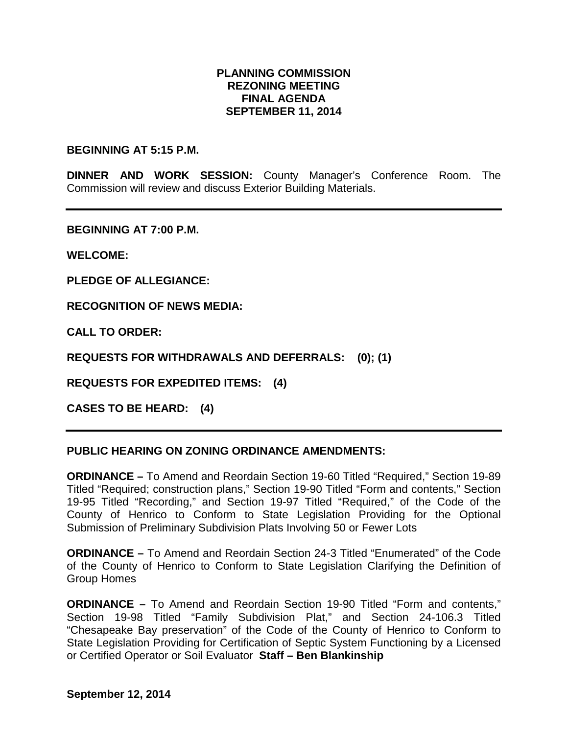#### **PLANNING COMMISSION REZONING MEETING FINAL AGENDA SEPTEMBER 11, 2014**

#### **BEGINNING AT 5:15 P.M.**

**DINNER AND WORK SESSION:** County Manager's Conference Room. The Commission will review and discuss Exterior Building Materials.

**BEGINNING AT 7:00 P.M.**

**WELCOME:**

**PLEDGE OF ALLEGIANCE:**

**RECOGNITION OF NEWS MEDIA:**

**CALL TO ORDER:**

**REQUESTS FOR WITHDRAWALS AND DEFERRALS: (0); (1)**

**REQUESTS FOR EXPEDITED ITEMS: (4)**

**CASES TO BE HEARD: (4)**

#### **PUBLIC HEARING ON ZONING ORDINANCE AMENDMENTS:**

**ORDINANCE –** To Amend and Reordain Section 19-60 Titled "Required," Section 19-89 Titled "Required; construction plans," Section 19-90 Titled "Form and contents," Section 19-95 Titled "Recording," and Section 19-97 Titled "Required," of the Code of the County of Henrico to Conform to State Legislation Providing for the Optional Submission of Preliminary Subdivision Plats Involving 50 or Fewer Lots

**ORDINANCE –** To Amend and Reordain Section 24-3 Titled "Enumerated" of the Code of the County of Henrico to Conform to State Legislation Clarifying the Definition of Group Homes

**ORDINANCE –** To Amend and Reordain Section 19-90 Titled "Form and contents," Section 19-98 Titled "Family Subdivision Plat," and Section 24-106.3 Titled "Chesapeake Bay preservation" of the Code of the County of Henrico to Conform to State Legislation Providing for Certification of Septic System Functioning by a Licensed or Certified Operator or Soil Evaluator **Staff – Ben Blankinship**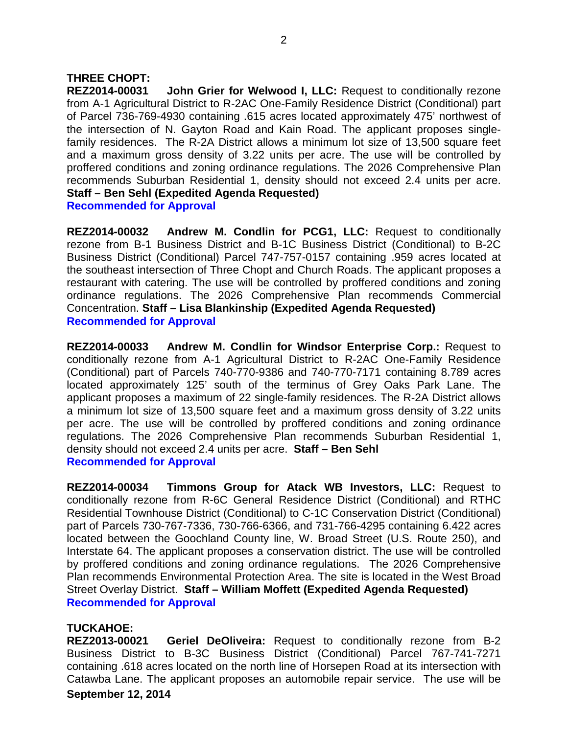#### **THREE CHOPT:**

**REZ2014-00031 John Grier for Welwood I, LLC:** Request to conditionally rezone from A-1 Agricultural District to R-2AC One-Family Residence District (Conditional) part of Parcel 736-769-4930 containing .615 acres located approximately 475' northwest of the intersection of N. Gayton Road and Kain Road. The applicant proposes singlefamily residences. The R-2A District allows a minimum lot size of 13,500 square feet and a maximum gross density of 3.22 units per acre. The use will be controlled by proffered conditions and zoning ordinance regulations. The 2026 Comprehensive Plan recommends Suburban Residential 1, density should not exceed 2.4 units per acre. **Staff – Ben Sehl (Expedited Agenda Requested) Recommended for Approval**

**REZ2014-00032 Andrew M. Condlin for PCG1, LLC:** Request to conditionally rezone from B-1 Business District and B-1C Business District (Conditional) to B-2C Business District (Conditional) Parcel 747-757-0157 containing .959 acres located at the southeast intersection of Three Chopt and Church Roads. The applicant proposes a restaurant with catering. The use will be controlled by proffered conditions and zoning ordinance regulations. The 2026 Comprehensive Plan recommends Commercial Concentration. **Staff – Lisa Blankinship (Expedited Agenda Requested) Recommended for Approval**

**REZ2014-00033 Andrew M. Condlin for Windsor Enterprise Corp.:** Request to conditionally rezone from A-1 Agricultural District to R-2AC One-Family Residence (Conditional) part of Parcels 740-770-9386 and 740-770-7171 containing 8.789 acres located approximately 125' south of the terminus of Grey Oaks Park Lane. The applicant proposes a maximum of 22 single-family residences. The R-2A District allows a minimum lot size of 13,500 square feet and a maximum gross density of 3.22 units per acre. The use will be controlled by proffered conditions and zoning ordinance regulations. The 2026 Comprehensive Plan recommends Suburban Residential 1, density should not exceed 2.4 units per acre. **Staff – Ben Sehl Recommended for Approval**

**REZ2014-00034 Timmons Group for Atack WB Investors, LLC:** Request to conditionally rezone from R-6C General Residence District (Conditional) and RTHC Residential Townhouse District (Conditional) to C-1C Conservation District (Conditional) part of Parcels 730-767-7336, 730-766-6366, and 731-766-4295 containing 6.422 acres located between the Goochland County line, W. Broad Street (U.S. Route 250), and Interstate 64. The applicant proposes a conservation district. The use will be controlled by proffered conditions and zoning ordinance regulations. The 2026 Comprehensive Plan recommends Environmental Protection Area. The site is located in the West Broad Street Overlay District. **Staff – William Moffett (Expedited Agenda Requested) Recommended for Approval**

#### **TUCKAHOE:**

**REZ2013-00021 Geriel DeOliveira:** Request to conditionally rezone from B-2 Business District to B-3C Business District (Conditional) Parcel 767-741-7271 containing .618 acres located on the north line of Horsepen Road at its intersection with Catawba Lane. The applicant proposes an automobile repair service. The use will be **September 12, 2014**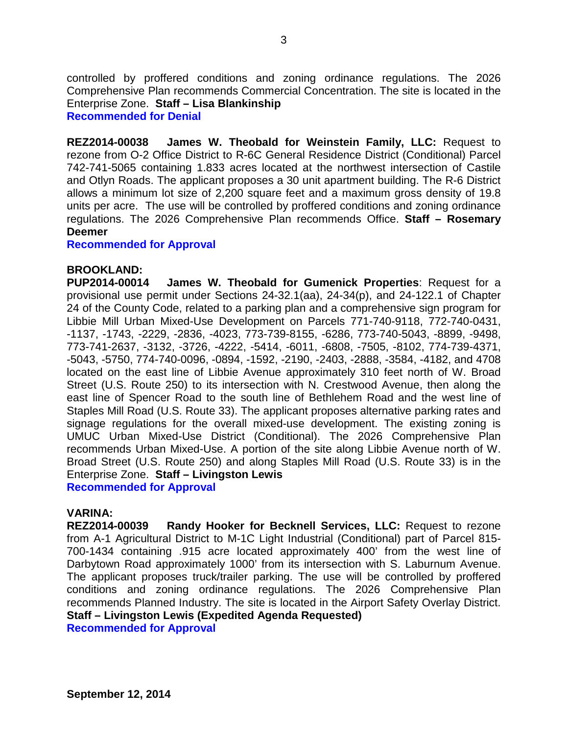controlled by proffered conditions and zoning ordinance regulations. The 2026 Comprehensive Plan recommends Commercial Concentration. The site is located in the Enterprise Zone. **Staff – Lisa Blankinship**

**Recommended for Denial**

**REZ2014-00038 James W. Theobald for Weinstein Family, LLC:** Request to rezone from O-2 Office District to R-6C General Residence District (Conditional) Parcel 742-741-5065 containing 1.833 acres located at the northwest intersection of Castile and Otlyn Roads. The applicant proposes a 30 unit apartment building. The R-6 District allows a minimum lot size of 2,200 square feet and a maximum gross density of 19.8 units per acre. The use will be controlled by proffered conditions and zoning ordinance regulations. The 2026 Comprehensive Plan recommends Office. **Staff – Rosemary Deemer**

**Recommended for Approval**

#### **BROOKLAND:**

**PUP2014-00014 James W. Theobald for Gumenick Properties**: Request for a provisional use permit under Sections 24-32.1(aa), 24-34(p), and 24-122.1 of Chapter 24 of the County Code, related to a parking plan and a comprehensive sign program for Libbie Mill Urban Mixed-Use Development on Parcels 771-740-9118, 772-740-0431, -1137, -1743, -2229, -2836, -4023, 773-739-8155, -6286, 773-740-5043, -8899, -9498, 773-741-2637, -3132, -3726, -4222, -5414, -6011, -6808, -7505, -8102, 774-739-4371, -5043, -5750, 774-740-0096, -0894, -1592, -2190, -2403, -2888, -3584, -4182, and 4708 located on the east line of Libbie Avenue approximately 310 feet north of W. Broad Street (U.S. Route 250) to its intersection with N. Crestwood Avenue, then along the east line of Spencer Road to the south line of Bethlehem Road and the west line of Staples Mill Road (U.S. Route 33). The applicant proposes alternative parking rates and signage regulations for the overall mixed-use development. The existing zoning is UMUC Urban Mixed-Use District (Conditional). The 2026 Comprehensive Plan recommends Urban Mixed-Use. A portion of the site along Libbie Avenue north of W. Broad Street (U.S. Route 250) and along Staples Mill Road (U.S. Route 33) is in the Enterprise Zone. **Staff – Livingston Lewis**

**Recommended for Approval**

#### **VARINA:**

**REZ2014-00039 Randy Hooker for Becknell Services, LLC:** Request to rezone from A-1 Agricultural District to M-1C Light Industrial (Conditional) part of Parcel 815- 700-1434 containing .915 acre located approximately 400' from the west line of Darbytown Road approximately 1000' from its intersection with S. Laburnum Avenue. The applicant proposes truck/trailer parking. The use will be controlled by proffered conditions and zoning ordinance regulations. The 2026 Comprehensive Plan recommends Planned Industry. The site is located in the Airport Safety Overlay District. **Staff – Livingston Lewis (Expedited Agenda Requested)**

**Recommended for Approval**